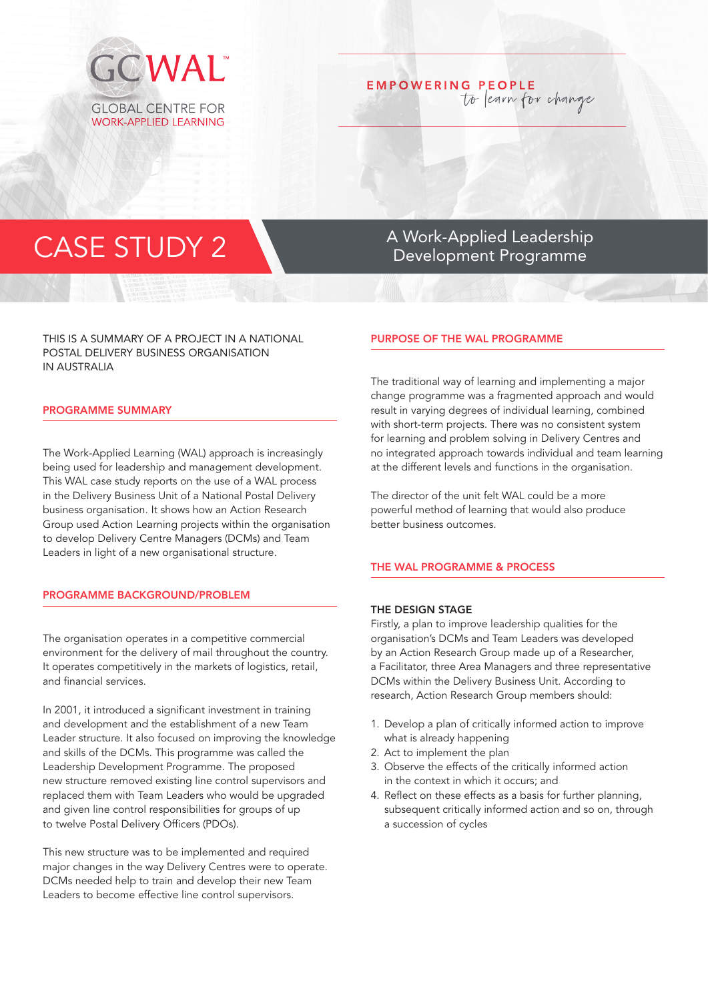

# **EMPOWERING PEOPLE** to learn for change

THIS IS A SUMMARY OF A PROJECT IN A NATIONAL POSTAL DELIVERY BUSINESS ORGANISATION IN AUSTRALIA

#### PROGRAMME SUMMARY

The Work-Applied Learning (WAL) approach is increasingly being used for leadership and management development. This WAL case study reports on the use of a WAL process in the Delivery Business Unit of a National Postal Delivery business organisation. It shows how an Action Research Group used Action Learning projects within the organisation to develop Delivery Centre Managers (DCMs) and Team Leaders in light of a new organisational structure.

#### PROGRAMME BACKGROUND/PROBLEM

The organisation operates in a competitive commercial environment for the delivery of mail throughout the country. It operates competitively in the markets of logistics, retail, and financial services.

In 2001, it introduced a significant investment in training and development and the establishment of a new Team Leader structure. It also focused on improving the knowledge and skills of the DCMs. This programme was called the Leadership Development Programme. The proposed new structure removed existing line control supervisors and replaced them with Team Leaders who would be upgraded and given line control responsibilities for groups of up to twelve Postal Delivery Officers (PDOs).

This new structure was to be implemented and required major changes in the way Delivery Centres were to operate. DCMs needed help to train and develop their new Team Leaders to become effective line control supervisors.

CASE STUDY 2 Development Programme

# PURPOSE OF THE WAL PROGRAMME

The traditional way of learning and implementing a major change programme was a fragmented approach and would result in varying degrees of individual learning, combined with short-term projects. There was no consistent system for learning and problem solving in Delivery Centres and no integrated approach towards individual and team learning at the different levels and functions in the organisation.

The director of the unit felt WAL could be a more powerful method of learning that would also produce better business outcomes.

# THE WAL PROGRAMME & PROCESS

#### THE DESIGN STAGE

Firstly, a plan to improve leadership qualities for the organisation's DCMs and Team Leaders was developed by an Action Research Group made up of a Researcher, a Facilitator, three Area Managers and three representative DCMs within the Delivery Business Unit. According to research, Action Research Group members should:

- 1. Develop a plan of critically informed action to improve what is already happening
- 2. Act to implement the plan
- 3. Observe the effects of the critically informed action in the context in which it occurs; and
- 4. Reflect on these effects as a basis for further planning, subsequent critically informed action and so on, through a succession of cycles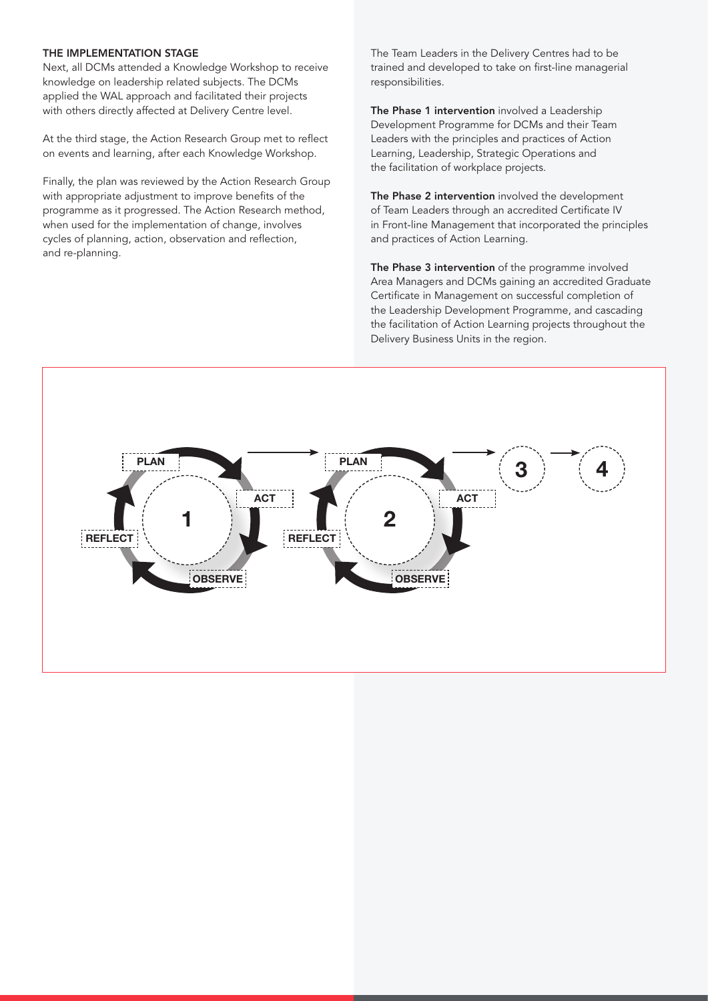### THE IMPLEMENTATION STAGE

Next, all DCMs attended a Knowledge Workshop to receive knowledge on leadership related subjects. The DCMs applied the WAL approach and facilitated their projects with others directly affected at Delivery Centre level.

At the third stage, the Action Research Group met to reflect on events and learning, after each Knowledge Workshop.

Finally, the plan was reviewed by the Action Research Group with appropriate adjustment to improve benefits of the programme as it progressed. The Action Research method, when used for the implementation of change, involves cycles of planning, action, observation and reflection, and re-planning.

The Team Leaders in the Delivery Centres had to be trained and developed to take on first-line managerial responsibilities.

The Phase 1 intervention involved a Leadership Development Programme for DCMs and their Team Leaders with the principles and practices of Action Learning, Leadership, Strategic Operations and the facilitation of workplace projects.

The Phase 2 intervention involved the development of Team Leaders through an accredited Certificate IV in Front-line Management that incorporated the principles and practices of Action Learning.

The Phase 3 intervention of the programme involved Area Managers and DCMs gaining an accredited Graduate Certificate in Management on successful completion of the Leadership Development Programme, and cascading the facilitation of Action Learning projects throughout the Delivery Business Units in the region.

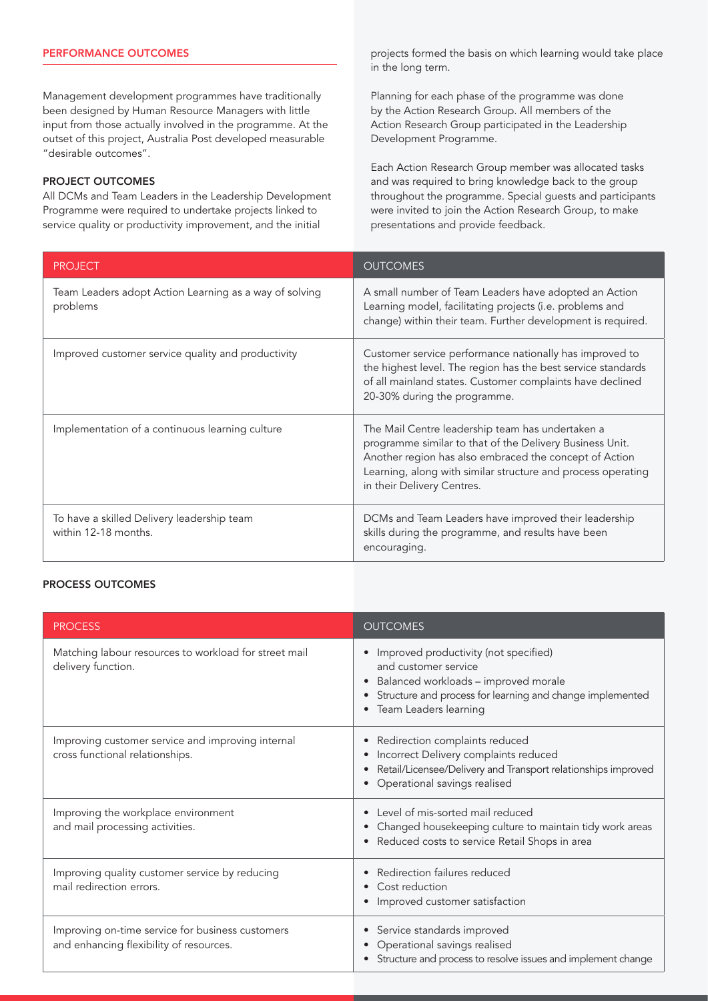# PERFORMANCE OUTCOMES

Management development programmes have traditionally been designed by Human Resource Managers with little input from those actually involved in the programme. At the outset of this project, Australia Post developed measurable "desirable outcomes".

# PROJECT OUTCOMES

All DCMs and Team Leaders in the Leadership Development Programme were required to undertake projects linked to service quality or productivity improvement, and the initial

projects formed the basis on which learning would take place in the long term.

Planning for each phase of the programme was done by the Action Research Group. All members of the Action Research Group participated in the Leadership Development Programme.

Each Action Research Group member was allocated tasks and was required to bring knowledge back to the group throughout the programme. Special guests and participants were invited to join the Action Research Group, to make presentations and provide feedback.

| <b>PROJECT</b>                                                     | <b>OUTCOMES</b>                                                                                                                                                                                                                                                      |
|--------------------------------------------------------------------|----------------------------------------------------------------------------------------------------------------------------------------------------------------------------------------------------------------------------------------------------------------------|
| Team Leaders adopt Action Learning as a way of solving<br>problems | A small number of Team Leaders have adopted an Action<br>Learning model, facilitating projects (i.e. problems and<br>change) within their team. Further development is required.                                                                                     |
| Improved customer service quality and productivity                 | Customer service performance nationally has improved to<br>the highest level. The region has the best service standards<br>of all mainland states. Customer complaints have declined<br>20-30% during the programme.                                                 |
| Implementation of a continuous learning culture                    | The Mail Centre leadership team has undertaken a<br>programme similar to that of the Delivery Business Unit.<br>Another region has also embraced the concept of Action<br>Learning, along with similar structure and process operating<br>in their Delivery Centres. |
| To have a skilled Delivery leadership team<br>within 12-18 months. | DCMs and Team Leaders have improved their leadership<br>skills during the programme, and results have been<br>encouraging.                                                                                                                                           |

### PROCESS OUTCOMES

| <b>PROCESS</b>                                                                              | <b>OUTCOMES</b>                                                                                                                                                                               |
|---------------------------------------------------------------------------------------------|-----------------------------------------------------------------------------------------------------------------------------------------------------------------------------------------------|
| Matching labour resources to workload for street mail<br>delivery function.                 | Improved productivity (not specified)<br>and customer service<br>Balanced workloads - improved morale<br>Structure and process for learning and change implemented<br>• Team Leaders learning |
| Improving customer service and improving internal<br>cross functional relationships.        | Redirection complaints reduced<br>Incorrect Delivery complaints reduced<br>Retail/Licensee/Delivery and Transport relationships improved<br>Operational savings realised                      |
| Improving the workplace environment<br>and mail processing activities.                      | Level of mis-sorted mail reduced<br>Changed housekeeping culture to maintain tidy work areas<br>Reduced costs to service Retail Shops in area                                                 |
| Improving quality customer service by reducing<br>mail redirection errors.                  | Redirection failures reduced<br>Cost reduction<br>$\bullet$<br>Improved customer satisfaction                                                                                                 |
| Improving on-time service for business customers<br>and enhancing flexibility of resources. | • Service standards improved<br>Operational savings realised<br>• Structure and process to resolve issues and implement change                                                                |